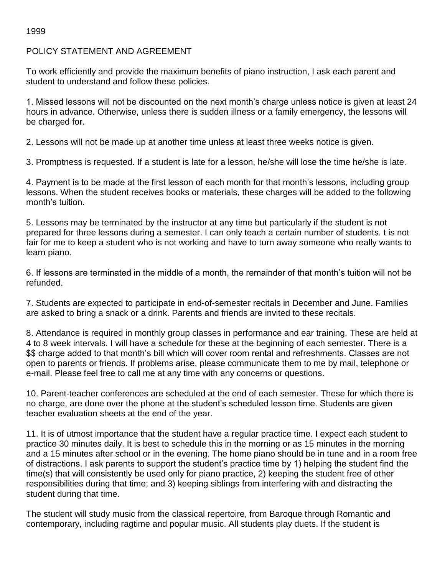## 1999

## POLICY STATEMENT AND AGREEMENT

To work efficiently and provide the maximum benefits of piano instruction, I ask each parent and student to understand and follow these policies.

1. Missed lessons will not be discounted on the next month's charge unless notice is given at least 24 hours in advance. Otherwise, unless there is sudden illness or a family emergency, the lessons will be charged for.

2. Lessons will not be made up at another time unless at least three weeks notice is given.

3. Promptness is requested. If a student is late for a lesson, he/she will lose the time he/she is late.

4. Payment is to be made at the first lesson of each month for that month's lessons, including group lessons. When the student receives books or materials, these charges will be added to the following month's tuition.

5. Lessons may be terminated by the instructor at any time but particularly if the student is not prepared for three lessons during a semester. I can only teach a certain number of students. t is not fair for me to keep a student who is not working and have to turn away someone who really wants to learn piano.

6. If lessons are terminated in the middle of a month, the remainder of that month's tuition will not be refunded.

7. Students are expected to participate in end-of-semester recitals in December and June. Families are asked to bring a snack or a drink. Parents and friends are invited to these recitals.

8. Attendance is required in monthly group classes in performance and ear training. These are held at 4 to 8 week intervals. I will have a schedule for these at the beginning of each semester. There is a \$\$ charge added to that month's bill which will cover room rental and refreshments. Classes are not open to parents or friends. If problems arise, please communicate them to me by mail, telephone or e-mail. Please feel free to call me at any time with any concerns or questions.

10. Parent-teacher conferences are scheduled at the end of each semester. These for which there is no charge, are done over the phone at the student's scheduled lesson time. Students are given teacher evaluation sheets at the end of the year.

11. It is of utmost importance that the student have a regular practice time. I expect each student to practice 30 minutes daily. It is best to schedule this in the morning or as 15 minutes in the morning and a 15 minutes after school or in the evening. The home piano should be in tune and in a room free of distractions. I ask parents to support the student's practice time by 1) helping the student find the time(s) that will consistently be used only for piano practice, 2) keeping the student free of other responsibilities during that time; and 3) keeping siblings from interfering with and distracting the student during that time.

The student will study music from the classical repertoire, from Baroque through Romantic and contemporary, including ragtime and popular music. All students play duets. If the student is